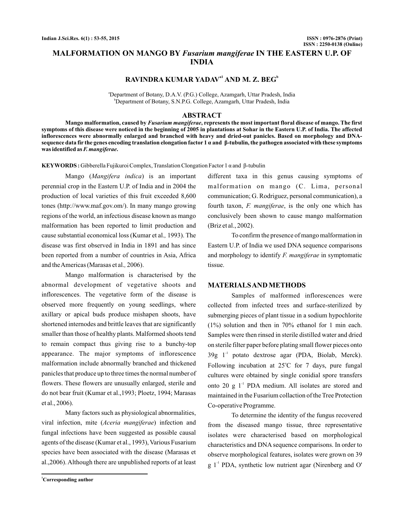# **MALFORMATION ON MANGO BY Fusarium mangiferae IN THE EASTERN U.P. OF INDIA**

# **RAVINDRA KUMAR YADAV<sup>a1</sup> AND M. Z. BEG<sup>b</sup>**

a Department of Botany, D.A.V. (P.G.) College, Azamgarh, Uttar Pradesh, India b Department of Botany, S.N.P.G. College, Azamgarh, Uttar Pradesh, India

### **ABSTRACT**

Mango malformation, caused by *Fusarium mangiferae*, represents the most important floral disease of mango. The first **symptoms of this disease were noticed in the beginning of 2005 in plantations at Sohar in the Eastern U.P. of India. The affected inflorescences were abnormally enlarged and branched with heavy and dried-out panicles. Based on morphology and DNAsequence data fir the genes encoding translation elongation factor 1 α and β-tubulin, the pathogen associated with these symptoms** was identified as *F. mangiferae*.

**KEYWORDS :** Gibberella Fujikuroi Complex, Translation Clongation Factor 1 α and β-tubulin

Mango (Mangifera indica) is an important perennial crop in the Eastern U.P. of India and in 2004 the production of local varieties of this fruit exceeded 8,600 tones (http://www.maf.gov.om/). In many mango growing regions of the world, an infectious disease known as mango malformation has been reported to limit production and cause substantial economical loss (Kumar et al., 1993). The disease was first observed in India in 1891 and has since been reported from a number of countries in Asia, Africa and the Americas (Marasas et al., 2006).

Mango malformation is characterised by the abnormal development of vegetative shoots and inflorescences. The vegetative form of the disease is observed more frequently on young seedlings, where axillary or apical buds produce mishapen shoots, have shortened internodes and brittle leaves that are significantly smaller than those of healthy plants. Malformed shoots tend to remain compact thus giving rise to a bunchy-top appearance. The major symptoms of inflorescence malformation include abnormally branched and thickened panicles that produce up to three times the normal number of flowers. These flowers are unusually enlarged, sterile and do not bear fruit (Kumar et al.,1993; Ploetz, 1994; Marasas et al., 2006).

Many factors such as physiological abnormalities, viral infection, mite (Aceria mangiferae) infection and fungal infections have been suggested as possible causal agents of the disease (Kumar et al., 1993), Various Fusarium species have been associated with the disease (Marasas et al.,2006). Although there are unpublished reports of at least

different taxa in this genus causing symptoms of malformation on mango (C. Lima, personal communication; G. Rodriguez, personal communication), a fourth taxon, *F. mangiferae*, is the only one which has conclusively been shown to cause mango malformation (Briz et al., 2002).

To confirm the presence of mango malformation in Eastern U.P. of India we used DNA sequence comparisons and morphology to identify F. mangiferae in symptomatic tissue.

#### **MATERIALSAND METHODS**

Samples of malformed inflorescences were collected from infected trees and surface-sterilized by submerging pieces of plant tissue in a sodium hypochlorite (1%) solution and then in 70% ethanol for 1 min each. Samples were then rinsed in sterile distilled water and dried on sterile filter paper before plating small flower pieces onto  $39g$  1<sup>-1</sup> potato dextrose agar (PDA, Biolab, Merck). Following incubation at  $25^{\circ}$ C for 7 days, pure fungal cultures were obtained by single conidial spore transfers onto 20  $g$  1<sup>-1</sup> PDA medium. All isolates are stored and maintained in the Fusarium collaction of the Tree Protection Co-operative Programme.

To determine the identity of the fungus recovered from the diseased mango tissue, three representative isolates were characterised based on morphological characteristics and DNA sequence comparisons. In order to observe morphological features, isolates were grown on 39  $g$  1<sup>-1</sup> PDA, synthetic low nutrient agar (Nirenberg and O'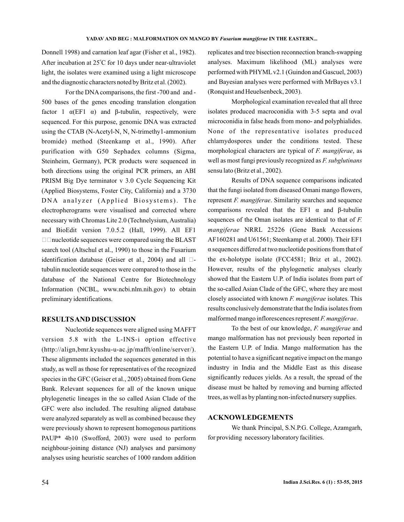Donnell 1998) and carnation leaf agar (Fisher et al., 1982). After incubation at 25°C for 10 days under near-ultraviolet light, the isolates were examined using a light microscope and the diagnostic characters noted by Britz et al. (2002).

For the DNAcomparisons, the first -700 and and - 500 bases of the genes encoding translation elongation factor 1  $\alpha$ (EF1  $\alpha$ ) and  $\beta$ -tubulin, respectively, were sequenced. For this purpose, genomic DNA was extracted using the CTAB (N-Acetyl-N, N, N-trimethy1-ammonium bromide) method (Steenkamp et al., 1990). After purification with G50 Sephadex columns (Sigma, Steinheim, Germany), PCR products were sequenced in both directions using the original PCR primers, an ABI PRISM Big Dye terminator v 3.0 Cycle Sequencing Kit (Applied Biosystems, Foster City, California) and a 3730 DNA analyzer (Applied Biosystems). The electropherograms were visualised and corrected where necessary with Chromas Lite 2.0 (Technelysium, Australia) and BioEdit version 7.0.5.2 (Hall, 1999). All EF1  $\Box$   $\Box$  nucleotide sequences were compared using the BLAST search tool (Altschul et al., 1990) to those in the Fusarium identification database (Geiser et al., 2004) and all  $\Box$ tubulin nucleotide sequences were compared to those in the database of the National Centre for Biotechnology Information (NCBL, www.ncbi.nlm.nih.gov) to obtain preliminary identifications.

## **RESULTSAND DISCUSSION**

Nucleotide sequences were aligned using MAFFT version 5.8 with the L-INS-i option effective (http://align,bmr.kyushu-u-ac.jp/mafft/online/server/). These alignments included the sequences generated in this study, as well as those for representatives of the recognized species in the GFC (Geiser et al., 2005) obtained from Gene Bank. Relevant sequences for all of the known unique phylogenetic lineages in the so called Asian Clade of the GFC were also included. The resulting aligned database were analyzed separately as well as combined because they were previously shown to represent homogenous partitions PAUP\* 4b10 (Swofford, 2003) were used to perform neighbour-joining distance (NJ) analyses and parsimony analyses using heuristic searches of 1000 random addition

replicates and tree bisection reconnection branch-swapping analyses. Maximum likelihood (ML) analyses were performed with PHYML v2.1 (Guindon and Gascuel, 2003) and Bayesian analyses were performed with MrBayes v3.1 (Ronquist and Heuelsenbeck, 2003).

Morphological examination revealed that all three isolates produced macroconidia with 3-5 septa and oval microconidia in false heads from mono- and polyphialides. None of the representative isolates produced chlamydospores under the conditions tested. These morphological characters are typical of F. mangiferae, as well as most fungi previously recognized as *F. subglutinans* sensu lato (Britz et al., 2002).

Results of DNA sequence comparisons indicated that the fungi isolated from diseased Omani mango flowers, represent *F. mangiferae*. Similarity searches and sequence comparisons revealed that the EF1  $\alpha$  and  $\beta$ -tubulin sequences of the Oman isolates are identical to that of *F.* mangiferae NRRL 25226 (Gene Bank Accessions AF160281 and U61561; Steenkamp et al. 2000). Their EF1  $\alpha$  sequences differed at two nucleotide positions from that of the ex-holotype isolate (FCC4581; Briz et al., 2002). However, results of the phylogenetic analyses clearly showed that the Eastern U.P. of India isolates from part of the so-called Asian Clade of the GFC, where they are most closely associated with known F. mangiferae isolates. This results conclusively demonstrate that the India isolates from malformed mango inflorescences represent F. mangiferae.

To the best of our knowledge, F. mangiferae and mango malformation has not previously been reported in the Eastern U.P. of India. Mango malformation has the potential to have a significant negative impact on the mango industry in India and the Middle East as this disease significantly reduces yields. As a result, the spread of the disease must be halted by removing and burning affected trees, as well as by planting non-infected nursery supplies.

## **ACKNOWLEDGEMENTS**

We thank Principal, S.N.P.G. College, Azamgarh, for providing necessory laboratory facilities.